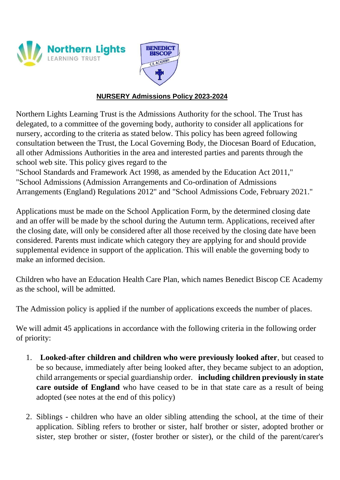



## **NURSERY Admissions Policy 2023-2024**

Northern Lights Learning Trust is the Admissions Authority for the school. The Trust has delegated, to a committee of the governing body, authority to consider all applications for nursery, according to the criteria as stated below. This policy has been agreed following consultation between the Trust, the Local Governing Body, the Diocesan Board of Education, all other Admissions Authorities in the area and interested parties and parents through the school web site. This policy gives regard to the

"School Standards and Framework Act 1998, as amended by the Education Act 2011," "School Admissions (Admission Arrangements and Co-ordination of Admissions Arrangements (England) Regulations 2012" and "School Admissions Code, February 2021."

Applications must be made on the School Application Form, by the determined closing date and an offer will be made by the school during the Autumn term. Applications, received after the closing date, will only be considered after all those received by the closing date have been considered. Parents must indicate which category they are applying for and should provide supplemental evidence in support of the application. This will enable the governing body to make an informed decision.

Children who have an Education Health Care Plan, which names Benedict Biscop CE Academy as the school, will be admitted.

The Admission policy is applied if the number of applications exceeds the number of places.

We will admit 45 applications in accordance with the following criteria in the following order of priority:

- 1. **Looked-after children and children who were previously looked after**, but ceased to be so because, immediately after being looked after, they became subject to an adoption, child arrangements or special guardianship order. **including children previously in state care outside of England** who have ceased to be in that state care as a result of being adopted (see notes at the end of this policy)
- 2. Siblings children who have an older sibling attending the school, at the time of their application. Sibling refers to brother or sister, half brother or sister, adopted brother or sister, step brother or sister, (foster brother or sister), or the child of the parent/carer's